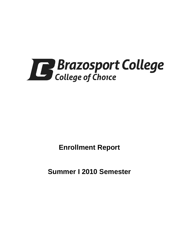

**Enrollment Report**

**Summer I 2010 Semester**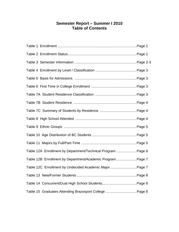# **Semester Report – Summer I 2010 Table of Contents**

| Table 12A Enrollment by Department/Technical Program Page 6 |
|-------------------------------------------------------------|
| Table 12B Enrollment by Department/Academic Program Page 7  |
| Table 12C Enrollment by Undecided Academic Major Page 7     |
|                                                             |
|                                                             |
| Table 15 Graduates Attending Brazosport College  Page 8     |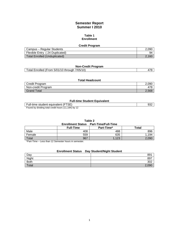# **Semester Report Summer I 2010**

#### **Table 1 Enrollment**

| <b>Credit Program</b>          |       |  |
|--------------------------------|-------|--|
| Campus - Regular Students      | 2.090 |  |
| Flexible Entry (24 Duplicated) | 94    |  |
| Total Enrolled (Unduplicated)  | 2.160 |  |

# **Non-Credit Program**

| Total Enrolled (From 5/01/10 through 7/05/10) |  |
|-----------------------------------------------|--|
|                                               |  |

## **Total Headcount**

| Credit Program     | 2.090     |
|--------------------|-----------|
| Non-credit Program | 78!<br>4, |
| <b>Grand Total</b> | 2,568     |

#### **Full-time Student Equivalent**

| estudent equivalent<br>Full-time                                     | ےت |  |
|----------------------------------------------------------------------|----|--|
| .184) bv 12<br>7 4 A<br>I by dividing total credit hours ('<br>Founa |    |  |

ound by dividing total credit hours (11,184) by<sup>1</sup>

| Table 2 |                                              |  |
|---------|----------------------------------------------|--|
|         | <b>Enrollment Status Part-Time/Full-Time</b> |  |
|         |                                              |  |

|              | <b>Full-Time</b> | Part-Time* | Total |
|--------------|------------------|------------|-------|
| Male         | 408              | 488        | 896   |
| Female       | 559              | 635        | 1,194 |
| Total<br>___ | 967              | 122<br>ن ۱ | 2,090 |

\*Part-Time – Less than 12 Semester hours in semester.

# **Enrollment Status Day Student/Night Student**

| Day          | 891   |
|--------------|-------|
| Night        | 897   |
| <b>Both</b>  | 302   |
| <b>Total</b> | 2,090 |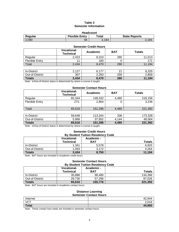## **Table 3 Semester Information**

| <b>Headcount</b>                                                  |    |       |       |  |  |
|-------------------------------------------------------------------|----|-------|-------|--|--|
| <b>Flexible Entry</b><br>Total<br><b>State Reports</b><br>Regular |    |       |       |  |  |
| 2.090                                                             | 94 | 2.184 | 2.184 |  |  |

#### **Semester Credit Hours**

|                       | <b>Vocational-</b><br><b>Technical</b> | Academic | <b>BAT</b> | <b>Totals</b> |
|-----------------------|----------------------------------------|----------|------------|---------------|
| Regular               | 2,423                                  | 8,310    | 280        | 11,013        |
| <b>Flexible Entry</b> | 11                                     | 160      | 0          | 171           |
| Total                 | 2,434                                  | 8,470    | 280        | 11,184        |
|                       |                                        |          |            |               |
| In-District           | 2,127                                  | 6,177    | 21         | 8,325         |
| Out-of-District       | 307                                    | 2,293    | 259        | 2,859         |
| <b>Totals</b>         | 2,434                                  | 8,470    | 280        | 11,184        |

Note: In/Out-of-District status is determined by where a course is taught.

#### **Semester Contact Hours**

| <b>Vocational-</b><br><b>Technical</b> | Academic                                                                          | <b>BAT</b> | <b>Totals</b> |
|----------------------------------------|-----------------------------------------------------------------------------------|------------|---------------|
| 65,344                                 | 148,332                                                                           | 4,480      | 218,156       |
| 272.                                   | 2,964                                                                             | 0          | 3,236         |
| 65,616                                 | 151,296                                                                           | 4,480      | 221,392       |
|                                        |                                                                                   |            |               |
| 59,648                                 | 113,344                                                                           | 336        | 173,328       |
| 5,968                                  | 37,952                                                                            | 4.144      | 48,064        |
| 65,616                                 | 151,296                                                                           | 4,480      | 221,392       |
|                                        | Note: $\ln/\sqrt{u}$ of District status is determined by where a course is taught |            |               |

Note: In/Out-of-District status is determined by where a course is taught.

#### **Semester Credit Hours By Student Tuition Residency Code**

| ****************************<br>-----                        |                    |            |               |  |  |
|--------------------------------------------------------------|--------------------|------------|---------------|--|--|
|                                                              | <b>Vocational-</b> | Academic - |               |  |  |
|                                                              | <b>Technical</b>   | <b>BAT</b> | <b>Totals</b> |  |  |
| In-District                                                  | 1,341              | 5,578      | 6,920         |  |  |
| Out-of-District                                              | 1,093              | 3,172      | 4,264         |  |  |
| Totals                                                       | 2,434              | 8,750      | 11,184        |  |  |
| Alata: DAT barrea and bodied and be Alandamia and dit barrea |                    |            |               |  |  |

Note: BAT hours are included in Academic credit hours.

#### **Semester Contact Hours By Student Tuition Residency Code**

|                 | <b>Vocational-</b><br><b>Technical</b> | Academic -<br><b>BAT</b> | <b>Totals</b> |
|-----------------|----------------------------------------|--------------------------|---------------|
| In-District     | 35.886                                 | 98.480                   | 134.366       |
| Out-of-District | 29.730                                 | 57,296                   | 87.026        |
| <b>Totals</b>   | 65,616                                 | 155,776                  | 221,392       |

Note: BAT hours are included in Academic contact hours.

# **Distance Learning**

| <b>Semester Contact Hours</b> |             |  |
|-------------------------------|-------------|--|
| Internet                      | -42.<br>ാ⊿∠ |  |
| <b>VCT</b>                    | 2,016       |  |
| <b>Total</b>                  | 44,960      |  |

Note: These contact hour totals are included in semester contact hours.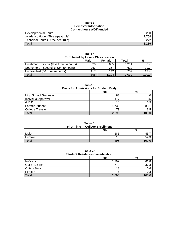## **Table 3 Semester Information Contact hours** *NOT* **funded**

| <u> Julius Hudi Jivi Hilucu</u>   |     |  |
|-----------------------------------|-----|--|
| Developmental Hours               | 260 |  |
| Academic Hours (Three-peat rule)  |     |  |
| Technical Hours (Three-peat rule) | 272 |  |
| Total                             |     |  |

| <b>Enrollment by Level / Classification</b> |     |       |       |       |  |
|---------------------------------------------|-----|-------|-------|-------|--|
| Male<br>Total<br>%<br><b>Female</b>         |     |       |       |       |  |
| Freshman: First Yr (less than 24 hours)     | 526 | 685   | 1.211 | 57.9  |  |
| Sophomore: Second Yr (24-59 hours)          | 253 | 367   | 620   | 29.7  |  |
| Unclassified (60 or more hours)             | 117 | 142   | 259   | 12.4  |  |
| Total                                       | 896 | 1.194 | 2.090 | 100.0 |  |

**Table 4**

| Table 5<br><b>Basis for Admissions for Student Body</b> |       |       |  |
|---------------------------------------------------------|-------|-------|--|
|                                                         | No.   | %     |  |
| <b>High School Graduate</b>                             | 83    | 4.0   |  |
| <b>Individual Approval</b>                              | 177   | 8.5   |  |
| G.E.D.                                                  | 18    | 0.9   |  |
| <b>Former Student</b>                                   | 1,739 | 83.1  |  |
| <b>College Transfer</b>                                 | 73    | 3.5   |  |
| Total                                                   | 2.090 | 100.C |  |

**Table 6 First Time in College Enrollment**

|        | No. | %    |
|--------|-----|------|
| Male   | 181 | 40., |
| Female | 215 | 54.3 |
| Total  | 396 |      |

# **Table 7A Student Residence Classification**

|                    | No.   | %     |
|--------------------|-------|-------|
| <b>In-District</b> | 1,292 | 61.8  |
| Out-of-District    | 779   | 37.3  |
| Out-of-State       | 13    | 0.6   |
| Foreign            |       | 0.3   |
| Total              | 2,090 | 100.0 |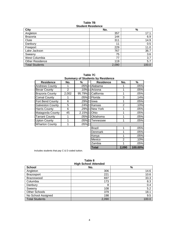#### **Table 7B Student Residence**

| City                   | No.   | $\%$  |
|------------------------|-------|-------|
| Angleton               | 357   | 17.1  |
| <b>Brazoria</b>        | 144   | 6.9   |
| Clute                  | 311   | 14.9  |
| Danbury                | 11    | 0.5   |
| Freeport               | 229   | 11.0  |
| Lake Jackson           | 767   | 36.7  |
| Sweeny                 | 75    | 3.6   |
| West Columbia          | 77    | 3.7   |
| <b>Other Residence</b> | 119   | 5.7   |
| <b>Total Students</b>  | 2,090 | 100.0 |

**Table 7C Summary of Students by Residence**

| <b>Residence</b>        | No.   | ℅      | <b>Residence</b> | No. | %    |
|-------------------------|-------|--------|------------------|-----|------|
| <b>Andrews County</b>   |       | .05%   | Alabama          |     | .05% |
| <b>Bexar County</b>     | 2     | .10%   | Arizona          |     | .05% |
| <b>Brazoria County</b>  | 2,002 | 95.79% | California       | 1   | .05% |
| <b>Comal County</b>     |       | .05%   | Florida          | 3   | .14% |
| Fort Bend County        | 6     | .29%   | lowa             | 1   | .05% |
| <b>Galveston County</b> | 5     | .24%   | Kansas           | 2   | .10% |
| <b>Harris County</b>    | 6     | .29%   | <b>New York</b>  |     | .05% |
| Matagorda County        | 45    | 2.15%  | Ohio             |     | .05% |
| <b>Tarrant County</b>   | 1     | .05%   | Oklahoma         |     | .05% |
| <b>Upton County</b>     |       | .05%   | Tennessee        |     | .05% |
| <b>Wharton County</b>   |       | .05%   |                  |     |      |
|                         |       |        | <b>Brazil</b>    |     | .05% |
|                         |       |        | Denmark          |     | .05% |
|                         |       |        | Kenya            |     | .05% |

Includes students that pay C & D coded tuition.

| Table 8 |                      |
|---------|----------------------|
|         | High School Attended |

Mexico 2 .10% Zambia 1 .05% **Total 2,090 100.00%**

| <b>THAN DATA LIGHT</b> |       |       |  |
|------------------------|-------|-------|--|
| <b>School</b>          | No.   | %     |  |
| Angleton               | 306   | 14.6  |  |
| <b>Brazosport</b>      | 221   | 10.6  |  |
| Brazoswood             | 697   | 33.3  |  |
| Columbia               | 173   | 8.3   |  |
| Danbury                | 8     | 0.4   |  |
| Sweeny                 | 108   | 5.2   |  |
| Other Schools          | 379   | 18.1  |  |
| No School Assigned     | 198   | 9.5   |  |
| <b>Total Students</b>  | 2,090 | 100.0 |  |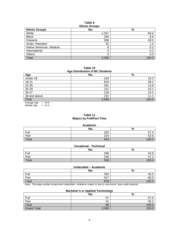#### **Table 9 Ethnic Groups**

| Lunno Oroups             |       |       |  |
|--------------------------|-------|-------|--|
| <b>Ethnic Groups</b>     | No.   | %     |  |
| White                    | 1,267 | 60.6  |  |
| <b>Black</b>             | 184   | 8.8   |  |
| Hispanic                 | 596   | 28.5  |  |
| Asian, Hawaiian          | 32    | 1.5   |  |
| Native American, Alaskan | 6     | 0.3   |  |
| International            | 5     | 0.2   |  |
| <b>Others</b>            |       | 0.0   |  |
| Total                    | 2,090 | 100.0 |  |

**Table 10 Age Distribution of BC Students**

| <b>Ago Distribution of Do Otagonto</b> |       |       |  |  |
|----------------------------------------|-------|-------|--|--|
| Age                                    | No.   | %     |  |  |
| Under 18                               | 319   | 15.3  |  |  |
| 18-21                                  | 819   | 39.2  |  |  |
| $22 - 25$                              | 291   | 13.9  |  |  |
| $26 - 29$                              | 212   | 10.1  |  |  |
| $30 - 37$                              | 218   | 10.4  |  |  |
| 38 and above                           | 231   | 11.1  |  |  |
| Total                                  | 2,090 | 100.0 |  |  |
| - - -<br>$\sim$ $\sim$                 |       |       |  |  |

Average Age = 24.6 Median Age  $= 21.0$ 

## **Table 11 Majors by Full/Part-Time**

#### **Academic**

|       | No. | $\Omega$<br>70 |
|-------|-----|----------------|
| Full  | 292 | . –<br>▵       |
| Part  | 324 | rο.<br>ວ∠.c    |
| Total | 616 |                |

# **Vocational - Technical**

|       | No. | $\mathbf{0}$<br>70 |
|-------|-----|--------------------|
| Full  | 268 | r o<br>◠           |
| Part  | 240 | . –<br>71 .Z       |
| Total | 508 |                    |

#### **Undecided – Academic**

| .     |             |                     |  |
|-------|-------------|---------------------|--|
|       | No.         | $\mathbf{0}$<br>70  |  |
| Full  | 350         | $\ddot{\,}$<br>40.U |  |
| Part  | 507<br>، ےں | 60.C                |  |
| Total | 878         |                     |  |

Note: The large number of part-time Undecided - Academic majors is due to concurrent / dual credit students.

# **Bachelor's in Applied Technology**

|                    | No.         | %     |
|--------------------|-------------|-------|
| Full               | 57          | 67.8  |
| Part               | $\sim$<br>ັ | 35.2  |
| Total              | 88          | 100.0 |
| <b>Grand Total</b> | 2,090       | 100.0 |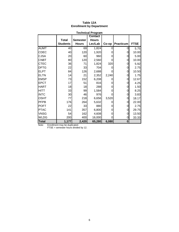| <b>Technical Program</b> |                 |                 |                |       |                  |             |
|--------------------------|-----------------|-----------------|----------------|-------|------------------|-------------|
|                          |                 |                 | <b>Contact</b> |       |                  |             |
|                          | <b>Total</b>    | <b>Semester</b> | <b>Hours</b>   |       |                  |             |
|                          | <b>Students</b> | <b>Hours</b>    | Lec/Lab        | Co-op | <b>Practicum</b> | <b>FTSE</b> |
| <b>AUMT</b>              | 40              | 69              | 1,824          | 0     | 0                | 5.75        |
| <b>CDEC</b>              | 40              | 120             | 1,920          |       | 0                | 10.00       |
| <b>CJSA</b>              | 20              | 60              | 960            |       | 0                | 5.00        |
| <b>CNBT</b>              | 80              | 120             | 2,560          |       | 0                | 10.00       |
| <b>CTEC</b>              | 36              | 71              | 1,824          | 320   | 0                | 5.92        |
| <b>DFTG</b>              | 22              | 33              | 704            |       | $\overline{0}$   | 2.75        |
| <b>ELPT</b>              | 84              | 126             | 2,688          |       | $\mathbf 0$      | 10.50       |
| <b>ELTN</b>              | 14              | 21              | 2,352          | 2,240 | $\mathbf 0$      | 1.75        |
| <b>EMSP</b>              | 73              | 152             | 6,208          |       | $\mathbf 0$      | 12.67       |
| <b>EPCT</b>              | 17              | 51              | 816            |       | 0                | 4.25        |
| <b>HART</b>              | 18              | 18              | 288            |       | 0                | 1.50        |
| <b>HITT</b>              | 33              | 99              | 1,584          |       | 0                | 8.25        |
| <b>INTC</b>              | 30              | 46              | 976            |       | 0                | 3.83        |
| <b>OSHT</b>              | 77              | 218             | 6,656          | 3,520 | 0                | 18.17       |
| <b>PFPB</b>              | 176             | 264             | 5,632          |       | 0                | 22.00       |
| <b>POFT</b>              | 22              | 33              | 880            |       | 0                | 2.75        |
| <b>PTAC</b>              | 141             | 357             | 6,800          |       | 0                | 29.75       |
| <b>VNSG</b>              | 54              | 162             | 4,608          |       | 0                | 13.50       |
| <b>WLDG</b>              | 200             | 400             | 16,000         | 0     | 0                | 33.33       |
| <b>Total</b>             | 1,177           | 2,420           | 65,280         | 6,080 | 0                |             |

# **Table 12A Enrollment by Department**

Note: Enrollment may be duplicated.

FTSE = semester hours divided by 12.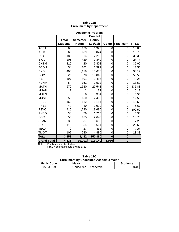| <b>Academic Program</b> |                 |                 |                |          |           |             |
|-------------------------|-----------------|-----------------|----------------|----------|-----------|-------------|
|                         |                 |                 | <b>Contact</b> |          |           |             |
|                         | <b>Total</b>    | <b>Semester</b> | <b>Hours</b>   |          |           |             |
|                         | <b>Students</b> | <b>Hours</b>    | Lec/Lab        | Co-op    | Practicum | <b>FTSE</b> |
| <b>ACCT</b>             | 60              | 120             | 1,920          | 0        | 0         | 10.00       |
| <b>ARTS</b>             | 63              | 189             | 3,024          | 0        | 0         | 15.75       |
| <b>BCIS</b>             | 182             | 364             | 7,280          | 0        | 0         | 30.33       |
| <b>BIOL</b>             | 205             | 429             | 9,840          | 0        | 0         | 35.75       |
| <b>CHEM</b>             | 210             | 420             | 9,408          | 0        | 0         | 35.00       |
| <b>ECON</b>             | 54              | 162             | 2,592          | 0        | 0         | 13.50       |
| <b>ENGL</b>             | 406             | 1,118           | 18,688         | 0        | 0         | 93.17       |
| <b>GOVT</b>             | 226             | 678             | 10,848         | 0        | 0         | 56.50       |
| <b>HIST</b>             | 197             | 591             | 9,456          | 0        | 0         | 49.25       |
| <b>HUMA</b>             | 54              | 162             | 2,592          | 0        | 0         | 13.50       |
| <b>MATH</b>             | 670             | 1,630           | 29,548         | 0        | 0         | 135.83      |
| <b>MUAP</b>             | $\overline{2}$  | 2               | 32             | 0        | 0         | 0.17        |
| <b>MUEN</b>             | 6               | 6               | 384            | 0        | 0         | 0.50        |
| <b>MUSI</b>             | 50              | 150             | 2,400          | 0        | 0         | 12.50       |
| PHED                    | 162             | 162             | 5,184          | 0        | 0         | 13.50       |
| <b>PHYS</b>             | 40              | 80              | 1,920          | 0        | 0         | 6.67        |
| <b>PSYC</b>             | 410             | 1,230           | 19,680         | 0        | 0         | 102.50      |
| <b>RNSG</b>             | 38              | 76              | 1,216          | 0        | 0         | 6.33        |
| SOCI                    | 55              | 165             | 2,640          | 0        | 0         | 13.75       |
| <b>SPAN</b>             | 39              | 87              | 1,632          | 0        | 0         | 7.25        |
| <b>SPCH</b>             | 118             | 354             | 5,664          | 0        | 0         | 29.50       |
| <b>TECA</b>             | 9               | 27              | 432            | 0        | 0         | 2.25        |
| <b>TMGT</b>             | 102             | 280             | 4,480          | 0        | 0         | 23.33       |
| <b>Total</b>            | 3,358           | 8,482           | 150,860        | $\bf{0}$ | $\bf{0}$  |             |
| <b>Grand Total</b>      | 4,535           | 10,902          | 216,140        | 6,080    | $\bf{0}$  |             |

# **Table 12B Enrollment by Department**

Note: Enrollment may be duplicated.

FTSE = semester hours divided by 12.

| <b>Enrollment by Undecided Academic Major</b> |  |  |
|-----------------------------------------------|--|--|
|                                               |  |  |

| <b>Hegis Code</b> | <b>Major</b>         | <b>Students</b> |
|-------------------|----------------------|-----------------|
| 6950 & 9996       | Undecided – Academic |                 |